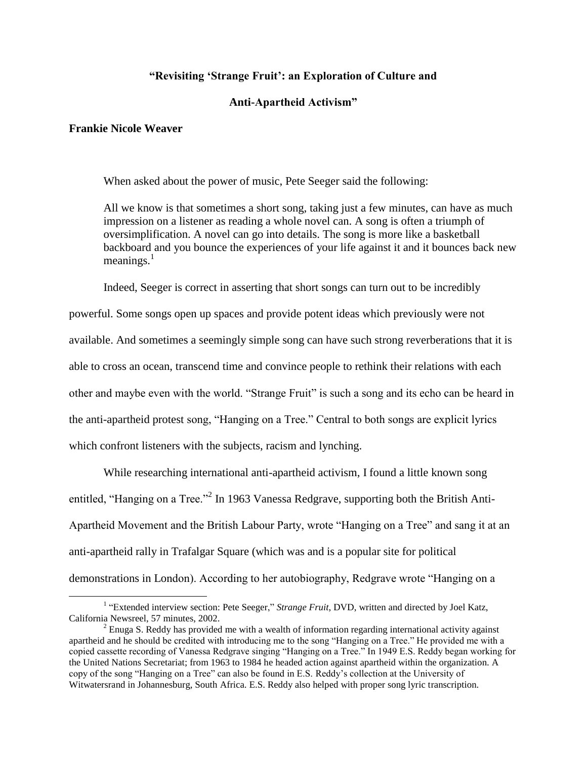## **"Revisiting "Strange Fruit": an Exploration of Culture and**

## **Anti-Apartheid Activism"**

## **Frankie Nicole Weaver**

 $\overline{a}$ 

When asked about the power of music, Pete Seeger said the following:

All we know is that sometimes a short song, taking just a few minutes, can have as much impression on a listener as reading a whole novel can. A song is often a triumph of oversimplification. A novel can go into details. The song is more like a basketball backboard and you bounce the experiences of your life against it and it bounces back new meanings. $<sup>1</sup>$ </sup>

Indeed, Seeger is correct in asserting that short songs can turn out to be incredibly

powerful. Some songs open up spaces and provide potent ideas which previously were not

available. And sometimes a seemingly simple song can have such strong reverberations that it is

able to cross an ocean, transcend time and convince people to rethink their relations with each

other and maybe even with the world. "Strange Fruit" is such a song and its echo can be heard in

the anti-apartheid protest song, "Hanging on a Tree." Central to both songs are explicit lyrics

which confront listeners with the subjects, racism and lynching.

While researching international anti-apartheid activism, I found a little known song entitled, "Hanging on a Tree."<sup>2</sup> In 1963 Vanessa Redgrave, supporting both the British Anti-Apartheid Movement and the British Labour Party, wrote "Hanging on a Tree" and sang it at an anti-apartheid rally in Trafalgar Square (which was and is a popular site for political demonstrations in London). According to her autobiography, Redgrave wrote "Hanging on a

<sup>&</sup>lt;sup>1</sup> "Extended interview section: Pete Seeger," *Strange Fruit*, DVD, written and directed by Joel Katz, California Newsreel, 57 minutes, 2002.

 $<sup>2</sup>$  Enuga S. Reddy has provided me with a wealth of information regarding international activity against</sup> apartheid and he should be credited with introducing me to the song "Hanging on a Tree." He provided me with a copied cassette recording of Vanessa Redgrave singing "Hanging on a Tree." In 1949 E.S. Reddy began working for the United Nations Secretariat; from 1963 to 1984 he headed action against apartheid within the organization. A copy of the song "Hanging on a Tree" can also be found in E.S. Reddy"s collection at the University of Witwatersrand in Johannesburg, South Africa. E.S. Reddy also helped with proper song lyric transcription.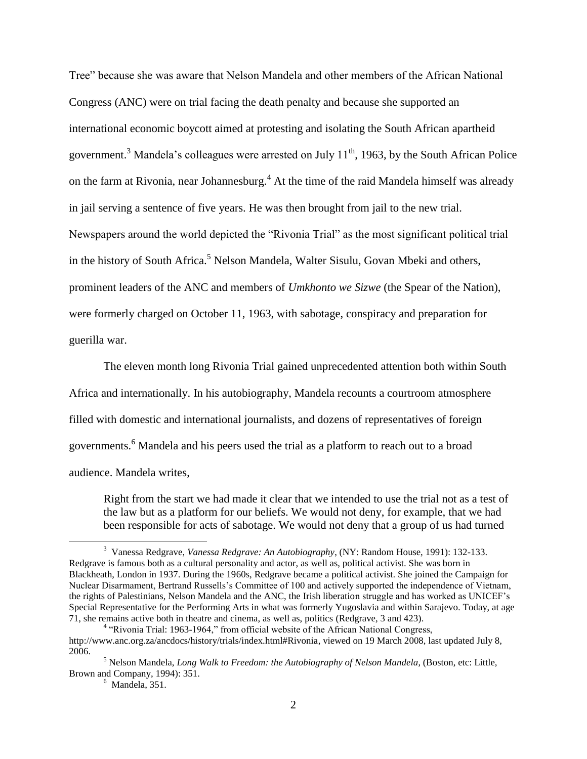Tree" because she was aware that Nelson Mandela and other members of the African National Congress (ANC) were on trial facing the death penalty and because she supported an international economic boycott aimed at protesting and isolating the South African apartheid government.<sup>3</sup> Mandela's colleagues were arrested on July  $11<sup>th</sup>$ , 1963, by the South African Police on the farm at Rivonia, near Johannesburg.<sup>4</sup> At the time of the raid Mandela himself was already in jail serving a sentence of five years. He was then brought from jail to the new trial. Newspapers around the world depicted the "Rivonia Trial" as the most significant political trial in the history of South Africa.<sup>5</sup> Nelson Mandela, Walter Sisulu, Govan Mbeki and others, prominent leaders of the ANC and members of *Umkhonto we Sizwe* (the Spear of the Nation), were formerly charged on October 11, 1963, with sabotage, conspiracy and preparation for guerilla war.

The eleven month long Rivonia Trial gained unprecedented attention both within South Africa and internationally. In his autobiography, Mandela recounts a courtroom atmosphere filled with domestic and international journalists, and dozens of representatives of foreign governments.<sup>6</sup> Mandela and his peers used the trial as a platform to reach out to a broad audience. Mandela writes,

Right from the start we had made it clear that we intended to use the trial not as a test of the law but as a platform for our beliefs. We would not deny, for example, that we had been responsible for acts of sabotage. We would not deny that a group of us had turned

<sup>3</sup> Vanessa Redgrave, *Vanessa Redgrave: An Autobiography*, (NY: Random House, 1991): 132-133. Redgrave is famous both as a cultural personality and actor, as well as, political activist. She was born in Blackheath, London in 1937. During the 1960s, Redgrave became a political activist. She joined the Campaign for Nuclear Disarmament, Bertrand Russells"s Committee of 100 and actively supported the independence of Vietnam, the rights of Palestinians, Nelson Mandela and the ANC, the Irish liberation struggle and has worked as UNICEF"s Special Representative for the Performing Arts in what was formerly Yugoslavia and within Sarajevo. Today, at age 71, she remains active both in theatre and cinema, as well as, politics (Redgrave, 3 and 423).

<sup>&</sup>lt;sup>4</sup> "Rivonia Trial: 1963-1964," from official website of the African National Congress, http://www.anc.org.za/ancdocs/history/trials/index.html#Rivonia, viewed on 19 March 2008, last updated July 8, 2006.

<sup>5</sup> Nelson Mandela, *Long Walk to Freedom: the Autobiography of Nelson Mandela*, (Boston, etc: Little, Brown and Company, 1994): 351.

 $<sup>6</sup>$  Mandela, 351.</sup>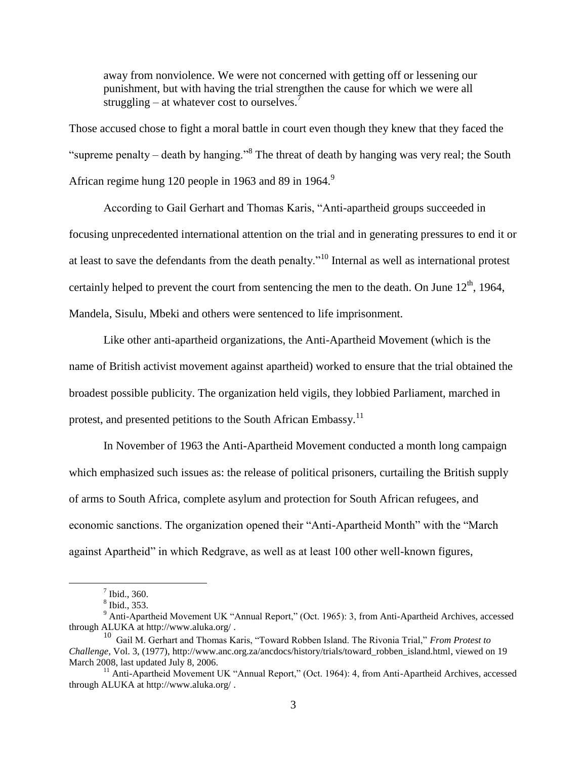away from nonviolence. We were not concerned with getting off or lessening our punishment, but with having the trial strengthen the cause for which we were all struggling – at whatever cost to ourselves.<sup>7</sup>

Those accused chose to fight a moral battle in court even though they knew that they faced the "supreme penalty – death by hanging."<sup>8</sup> The threat of death by hanging was very real; the South African regime hung 120 people in 1963 and 89 in 1964.<sup>9</sup>

According to Gail Gerhart and Thomas Karis, "Anti-apartheid groups succeeded in focusing unprecedented international attention on the trial and in generating pressures to end it or at least to save the defendants from the death penalty."<sup>10</sup> Internal as well as international protest certainly helped to prevent the court from sentencing the men to the death. On June  $12<sup>th</sup>$ , 1964, Mandela, Sisulu, Mbeki and others were sentenced to life imprisonment.

Like other anti-apartheid organizations, the Anti-Apartheid Movement (which is the name of British activist movement against apartheid) worked to ensure that the trial obtained the broadest possible publicity. The organization held vigils, they lobbied Parliament, marched in protest, and presented petitions to the South African Embassy.<sup>11</sup>

In November of 1963 the Anti-Apartheid Movement conducted a month long campaign which emphasized such issues as: the release of political prisoners, curtailing the British supply of arms to South Africa, complete asylum and protection for South African refugees, and economic sanctions. The organization opened their "Anti-Apartheid Month" with the "March against Apartheid" in which Redgrave, as well as at least 100 other well-known figures,

 $<sup>7</sup>$  Ibid., 360.</sup>

<sup>8</sup> Ibid., 353.

<sup>&</sup>lt;sup>9</sup> Anti-Apartheid Movement UK "Annual Report," (Oct. 1965): 3, from Anti-Apartheid Archives, accessed through ALUKA at http://www.aluka.org/ .

<sup>10</sup> Gail M. Gerhart and Thomas Karis, "Toward Robben Island. The Rivonia Trial," *From Protest to Challenge,* Vol. 3, (1977), http://www.anc.org.za/ancdocs/history/trials/toward\_robben\_island.html, viewed on 19 March 2008, last updated July 8, 2006.

<sup>&</sup>lt;sup>11</sup> Anti-Apartheid Movement UK "Annual Report," (Oct. 1964): 4, from Anti-Apartheid Archives, accessed through ALUKA at http://www.aluka.org/ .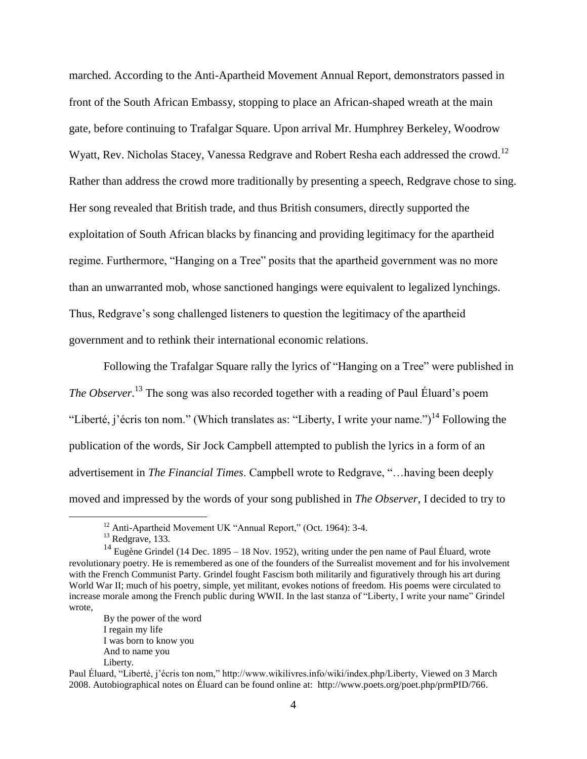marched. According to the Anti-Apartheid Movement Annual Report, demonstrators passed in front of the South African Embassy, stopping to place an African-shaped wreath at the main gate, before continuing to Trafalgar Square. Upon arrival Mr. Humphrey Berkeley, Woodrow Wyatt, Rev. Nicholas Stacey, Vanessa Redgrave and Robert Resha each addressed the crowd.<sup>12</sup> Rather than address the crowd more traditionally by presenting a speech, Redgrave chose to sing. Her song revealed that British trade, and thus British consumers, directly supported the exploitation of South African blacks by financing and providing legitimacy for the apartheid regime. Furthermore, "Hanging on a Tree" posits that the apartheid government was no more than an unwarranted mob, whose sanctioned hangings were equivalent to legalized lynchings. Thus, Redgrave"s song challenged listeners to question the legitimacy of the apartheid government and to rethink their international economic relations.

Following the Trafalgar Square rally the lyrics of "Hanging on a Tree" were published in The Observer.<sup>13</sup> The song was also recorded together with a reading of Paul Éluard's poem "Liberté, j'écris ton nom." (Which translates as: "Liberty, I write your name.")<sup>14</sup> Following the publication of the words, Sir Jock Campbell attempted to publish the lyrics in a form of an advertisement in *The Financial Times*. Campbell wrote to Redgrave, "…having been deeply moved and impressed by the words of your song published in *The Observer*, I decided to try to

 $\overline{a}$ 

By the power of the word I regain my life I was born to know you And to name you Liberty.

<sup>&</sup>lt;sup>12</sup> Anti-Apartheid Movement UK "Annual Report," (Oct. 1964): 3-4.

 $13$  Redgrave, 133.

<sup>&</sup>lt;sup>14</sup> Eugène Grindel (14 Dec. 1895 – 18 Nov. 1952), writing under the pen name of Paul Éluard, wrote revolutionary poetry. He is remembered as one of the founders of the Surrealist movement and for his involvement with the French Communist Party. Grindel fought Fascism both militarily and figuratively through his art during World War II; much of his poetry, simple, yet militant, evokes notions of freedom. His poems were circulated to increase morale among the French public during WWII. In the last stanza of "Liberty, I write your name" Grindel wrote,

Paul Éluard, "Liberté, j"écris ton nom," http://www.wikilivres.info/wiki/index.php/Liberty, Viewed on 3 March 2008. Autobiographical notes on Éluard can be found online at: http://www.poets.org/poet.php/prmPID/766.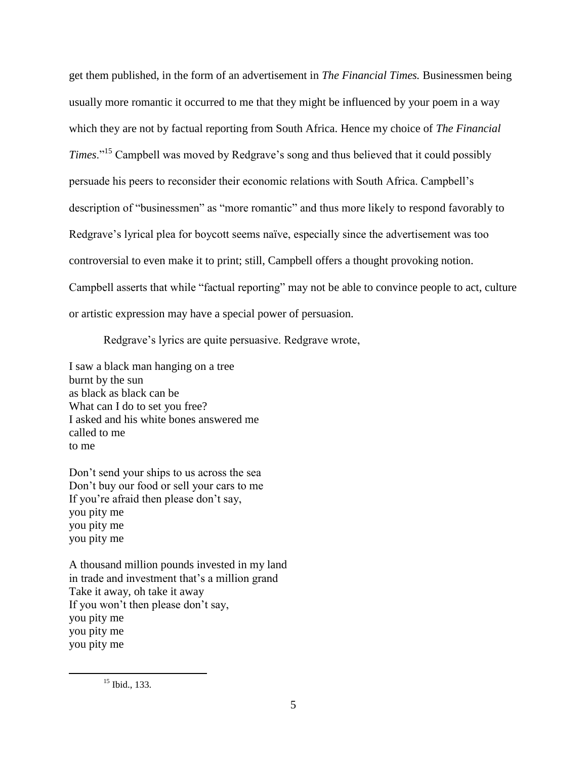get them published, in the form of an advertisement in *The Financial Times.* Businessmen being usually more romantic it occurred to me that they might be influenced by your poem in a way which they are not by factual reporting from South Africa. Hence my choice of *The Financial Times.*"<sup>15</sup> Campbell was moved by Redgrave's song and thus believed that it could possibly persuade his peers to reconsider their economic relations with South Africa. Campbell"s description of "businessmen" as "more romantic" and thus more likely to respond favorably to Redgrave's lyrical plea for boycott seems naïve, especially since the advertisement was too controversial to even make it to print; still, Campbell offers a thought provoking notion. Campbell asserts that while "factual reporting" may not be able to convince people to act, culture or artistic expression may have a special power of persuasion.

Redgrave's lyrics are quite persuasive. Redgrave wrote,

I saw a black man hanging on a tree burnt by the sun as black as black can be What can I do to set you free? I asked and his white bones answered me called to me to me

Don"t send your ships to us across the sea Don"t buy our food or sell your cars to me If you"re afraid then please don"t say, you pity me you pity me you pity me

A thousand million pounds invested in my land in trade and investment that"s a million grand Take it away, oh take it away If you won"t then please don"t say, you pity me you pity me you pity me

<sup>&</sup>lt;sup>15</sup> Ibid., 133.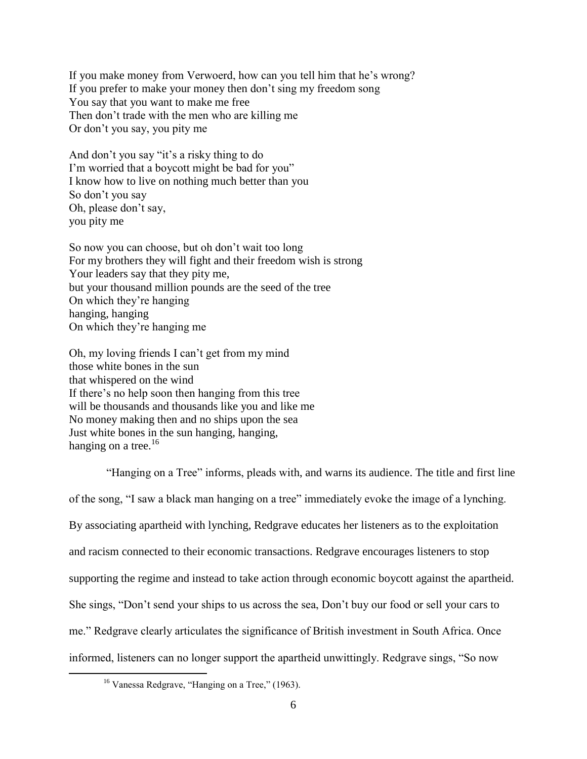If you make money from Verwoerd, how can you tell him that he"s wrong? If you prefer to make your money then don't sing my freedom song You say that you want to make me free Then don"t trade with the men who are killing me Or don"t you say, you pity me

And don't you say "it's a risky thing to do I'm worried that a boycott might be bad for you" I know how to live on nothing much better than you So don"t you say Oh, please don"t say, you pity me

So now you can choose, but oh don"t wait too long For my brothers they will fight and their freedom wish is strong Your leaders say that they pity me, but your thousand million pounds are the seed of the tree On which they"re hanging hanging, hanging On which they"re hanging me

Oh, my loving friends I can"t get from my mind those white bones in the sun that whispered on the wind If there"s no help soon then hanging from this tree will be thousands and thousands like you and like me No money making then and no ships upon the sea Just white bones in the sun hanging, hanging, hanging on a tree. $16$ 

"Hanging on a Tree" informs, pleads with, and warns its audience. The title and first line of the song, "I saw a black man hanging on a tree" immediately evoke the image of a lynching. By associating apartheid with lynching, Redgrave educates her listeners as to the exploitation and racism connected to their economic transactions. Redgrave encourages listeners to stop supporting the regime and instead to take action through economic boycott against the apartheid. She sings, "Don"t send your ships to us across the sea, Don"t buy our food or sell your cars to me." Redgrave clearly articulates the significance of British investment in South Africa. Once informed, listeners can no longer support the apartheid unwittingly. Redgrave sings, "So now

<sup>&</sup>lt;sup>16</sup> Vanessa Redgrave, "Hanging on a Tree," (1963).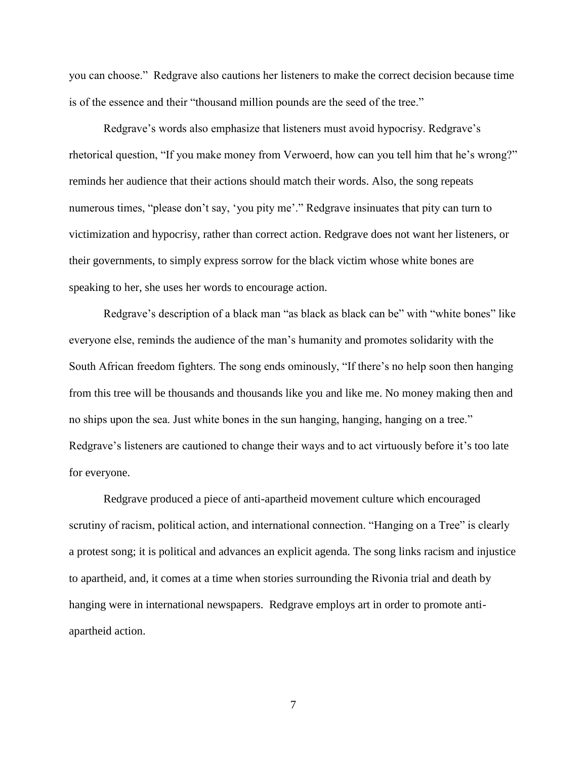you can choose." Redgrave also cautions her listeners to make the correct decision because time is of the essence and their "thousand million pounds are the seed of the tree."

Redgrave's words also emphasize that listeners must avoid hypocrisy. Redgrave's rhetorical question, "If you make money from Verwoerd, how can you tell him that he's wrong?" reminds her audience that their actions should match their words. Also, the song repeats numerous times, "please don't say, 'you pity me'." Redgrave insinuates that pity can turn to victimization and hypocrisy, rather than correct action. Redgrave does not want her listeners, or their governments, to simply express sorrow for the black victim whose white bones are speaking to her, she uses her words to encourage action.

Redgrave's description of a black man "as black as black can be" with "white bones" like everyone else, reminds the audience of the man"s humanity and promotes solidarity with the South African freedom fighters. The song ends ominously, "If there"s no help soon then hanging from this tree will be thousands and thousands like you and like me. No money making then and no ships upon the sea. Just white bones in the sun hanging, hanging, hanging on a tree." Redgrave's listeners are cautioned to change their ways and to act virtuously before it's too late for everyone.

Redgrave produced a piece of anti-apartheid movement culture which encouraged scrutiny of racism, political action, and international connection. "Hanging on a Tree" is clearly a protest song; it is political and advances an explicit agenda. The song links racism and injustice to apartheid, and, it comes at a time when stories surrounding the Rivonia trial and death by hanging were in international newspapers. Redgrave employs art in order to promote antiapartheid action.

7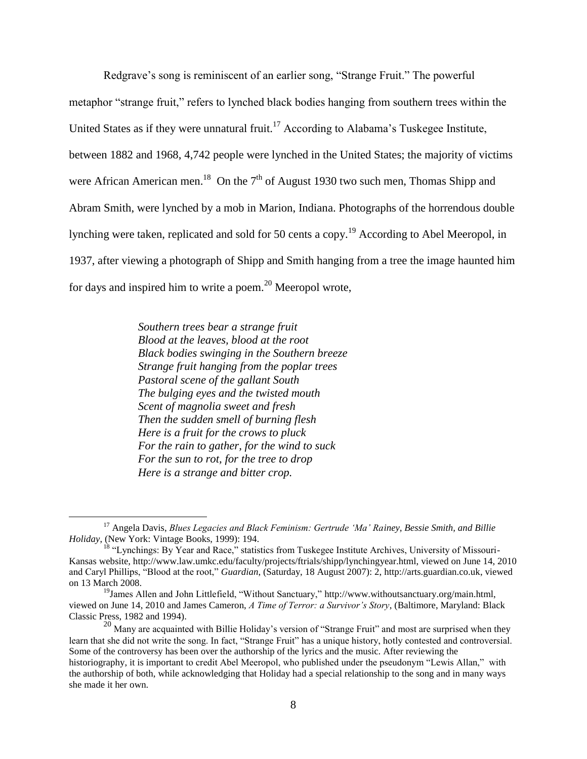Redgrave's song is reminiscent of an earlier song, "Strange Fruit." The powerful metaphor "strange fruit," refers to lynched black bodies hanging from southern trees within the United States as if they were unnatural fruit.<sup>17</sup> According to Alabama's Tuskegee Institute, between 1882 and 1968, 4,742 people were lynched in the United States; the majority of victims were African American men.<sup>18</sup> On the  $7<sup>th</sup>$  of August 1930 two such men, Thomas Shipp and Abram Smith, were lynched by a mob in Marion, Indiana. Photographs of the horrendous double lynching were taken, replicated and sold for 50 cents a copy.<sup>19</sup> According to Abel Meeropol, in 1937, after viewing a photograph of Shipp and Smith hanging from a tree the image haunted him for days and inspired him to write a poem.<sup>20</sup> Meeropol wrote,

> *Southern trees bear a strange fruit Blood at the leaves, blood at the root Black bodies swinging in the Southern breeze Strange fruit hanging from the poplar trees Pastoral scene of the gallant South The bulging eyes and the twisted mouth Scent of magnolia sweet and fresh Then the sudden smell of burning flesh Here is a fruit for the crows to pluck For the rain to gather, for the wind to suck For the sun to rot, for the tree to drop Here is a strange and bitter crop.*

<sup>17</sup> Angela Davis, *Blues Legacies and Black Feminism: Gertrude 'Ma' Rainey, Bessie Smith, and Billie Holiday*, (New York: Vintage Books, 1999): 194.

 $18$  "Lynchings: By Year and Race," statistics from Tuskegee Institute Archives, University of Missouri-Kansas website, http://www.law.umkc.edu/faculty/projects/ftrials/shipp/lynchingyear.html, viewed on June 14, 2010 and Caryl Phillips, "Blood at the root," *Guardian*, (Saturday, 18 August 2007): 2, http://arts.guardian.co.uk, viewed on 13 March 2008.

<sup>&</sup>lt;sup>19</sup>James Allen and John Littlefield, "Without Sanctuary," http://www.withoutsanctuary.org/main.html, viewed on June 14, 2010 and James Cameron, *A Time of Terror: a Survivor's Story*, (Baltimore, Maryland: Black Classic Press, 1982 and 1994).

<sup>&</sup>lt;sup>20</sup> Many are acquainted with Billie Holiday's version of "Strange Fruit" and most are surprised when they learn that she did not write the song. In fact, "Strange Fruit" has a unique history, hotly contested and controversial. Some of the controversy has been over the authorship of the lyrics and the music. After reviewing the historiography, it is important to credit Abel Meeropol, who published under the pseudonym "Lewis Allan," with the authorship of both, while acknowledging that Holiday had a special relationship to the song and in many ways she made it her own.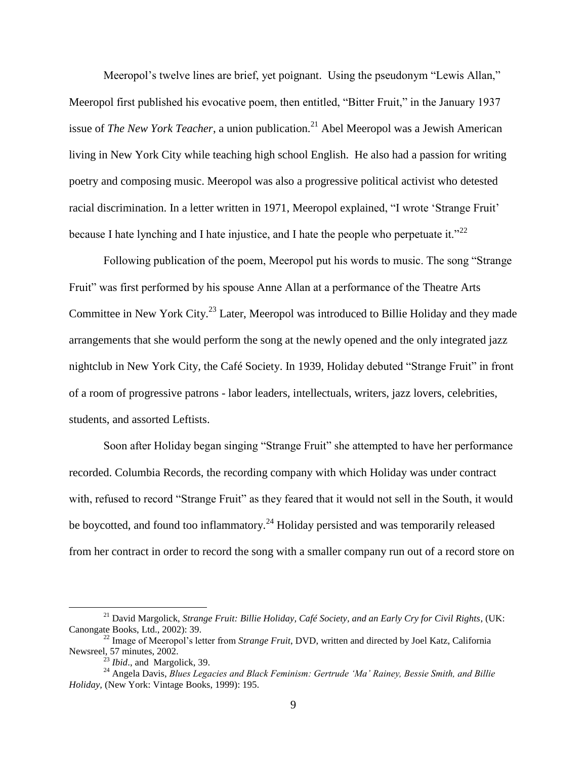Meeropol's twelve lines are brief, yet poignant. Using the pseudonym "Lewis Allan," Meeropol first published his evocative poem, then entitled, "Bitter Fruit," in the January 1937 issue of *The New York Teacher*, a union publication.<sup>21</sup> Abel Meeropol was a Jewish American living in New York City while teaching high school English. He also had a passion for writing poetry and composing music. Meeropol was also a progressive political activist who detested racial discrimination. In a letter written in 1971, Meeropol explained, "I wrote "Strange Fruit" because I hate lynching and I hate injustice, and I hate the people who perpetuate it."<sup>22</sup>

Following publication of the poem, Meeropol put his words to music. The song "Strange Fruit" was first performed by his spouse Anne Allan at a performance of the Theatre Arts Committee in New York City.<sup>23</sup> Later, Meeropol was introduced to Billie Holiday and they made arrangements that she would perform the song at the newly opened and the only integrated jazz nightclub in New York City, the Café Society. In 1939, Holiday debuted "Strange Fruit" in front of a room of progressive patrons - labor leaders, intellectuals, writers, jazz lovers, celebrities, students, and assorted Leftists.

Soon after Holiday began singing "Strange Fruit" she attempted to have her performance recorded. Columbia Records, the recording company with which Holiday was under contract with, refused to record "Strange Fruit" as they feared that it would not sell in the South, it would be boycotted, and found too inflammatory.<sup>24</sup> Holiday persisted and was temporarily released from her contract in order to record the song with a smaller company run out of a record store on

<sup>21</sup> David Margolick, *Strange Fruit: Billie Holiday, Café Society, and an Early Cry for Civil Rights*, (UK: Canongate Books, Ltd., 2002): 39.

<sup>22</sup> Image of Meeropol"s letter from *Strange Fruit*, DVD, written and directed by Joel Katz, California Newsreel, 57 minutes, 2002.

<sup>23</sup> *Ibid*., and Margolick, 39.

<sup>24</sup> Angela Davis, *Blues Legacies and Black Feminism: Gertrude 'Ma' Rainey, Bessie Smith, and Billie Holiday,* (New York: Vintage Books, 1999): 195.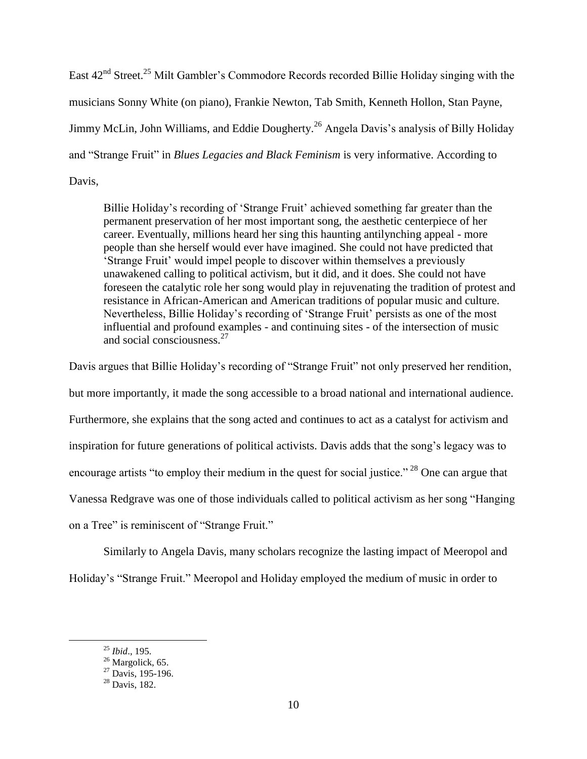East 42<sup>nd</sup> Street.<sup>25</sup> Milt Gambler's Commodore Records recorded Billie Holiday singing with the musicians Sonny White (on piano), Frankie Newton, Tab Smith, Kenneth Hollon, Stan Payne, Jimmy McLin, John Williams, and Eddie Dougherty.<sup>26</sup> Angela Davis's analysis of Billy Holiday and "Strange Fruit" in *Blues Legacies and Black Feminism* is very informative. According to Davis,

Billie Holiday's recording of 'Strange Fruit' achieved something far greater than the permanent preservation of her most important song, the aesthetic centerpiece of her career. Eventually, millions heard her sing this haunting antilynching appeal - more people than she herself would ever have imagined. She could not have predicted that "Strange Fruit" would impel people to discover within themselves a previously unawakened calling to political activism, but it did, and it does. She could not have foreseen the catalytic role her song would play in rejuvenating the tradition of protest and resistance in African-American and American traditions of popular music and culture. Nevertheless, Billie Holiday's recording of 'Strange Fruit' persists as one of the most influential and profound examples - and continuing sites - of the intersection of music and social consciousness.<sup>27</sup>

Davis argues that Billie Holiday"s recording of "Strange Fruit" not only preserved her rendition, but more importantly, it made the song accessible to a broad national and international audience. Furthermore, she explains that the song acted and continues to act as a catalyst for activism and inspiration for future generations of political activists. Davis adds that the song"s legacy was to encourage artists "to employ their medium in the quest for social justice."<sup>28</sup> One can argue that Vanessa Redgrave was one of those individuals called to political activism as her song "Hanging on a Tree" is reminiscent of "Strange Fruit."

Similarly to Angela Davis, many scholars recognize the lasting impact of Meeropol and Holiday"s "Strange Fruit." Meeropol and Holiday employed the medium of music in order to

<sup>25</sup> *Ibid*., 195.

 $^{26}$  Margolick, 65.

 $27$  Davis, 195-196.

 $28$  Davis, 182.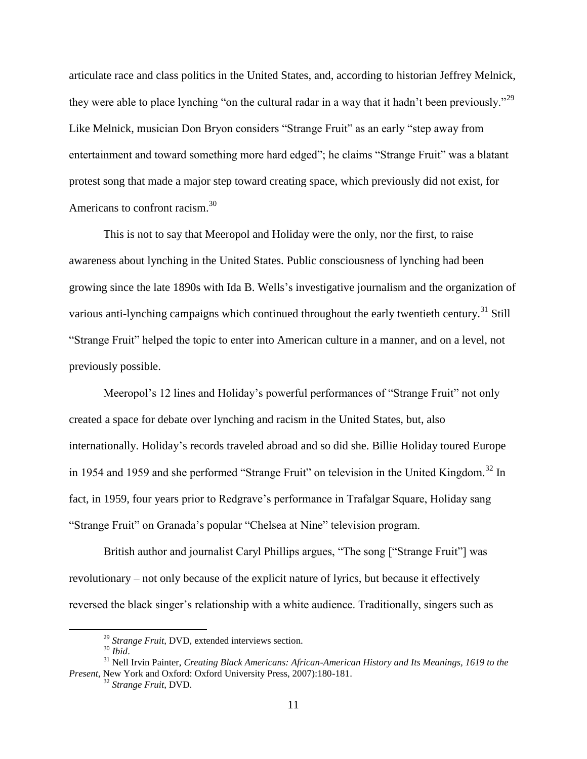articulate race and class politics in the United States, and, according to historian Jeffrey Melnick, they were able to place lynching "on the cultural radar in a way that it hadn't been previously."<sup>29</sup> Like Melnick, musician Don Bryon considers "Strange Fruit" as an early "step away from entertainment and toward something more hard edged"; he claims "Strange Fruit" was a blatant protest song that made a major step toward creating space, which previously did not exist, for Americans to confront racism.<sup>30</sup>

This is not to say that Meeropol and Holiday were the only, nor the first, to raise awareness about lynching in the United States. Public consciousness of lynching had been growing since the late 1890s with Ida B. Wells"s investigative journalism and the organization of various anti-lynching campaigns which continued throughout the early twentieth century.<sup>31</sup> Still "Strange Fruit" helped the topic to enter into American culture in a manner, and on a level, not previously possible.

Meeropol"s 12 lines and Holiday"s powerful performances of "Strange Fruit" not only created a space for debate over lynching and racism in the United States, but, also internationally. Holiday"s records traveled abroad and so did she. Billie Holiday toured Europe in 1954 and 1959 and she performed "Strange Fruit" on television in the United Kingdom.<sup>32</sup> In fact, in 1959, four years prior to Redgrave's performance in Trafalgar Square, Holiday sang "Strange Fruit" on Granada"s popular "Chelsea at Nine" television program.

British author and journalist Caryl Phillips argues, "The song ["Strange Fruit"] was revolutionary – not only because of the explicit nature of lyrics, but because it effectively reversed the black singer's relationship with a white audience. Traditionally, singers such as

<sup>29</sup> *Strange Fruit*, DVD, extended interviews section.

<sup>30</sup> *Ibid*.

<sup>31</sup> Nell Irvin Painter, *Creating Black Americans: African-American History and Its Meanings, 1619 to the Present*, New York and Oxford: Oxford University Press, 2007):180-181.

<sup>32</sup> *Strange Fruit*, DVD.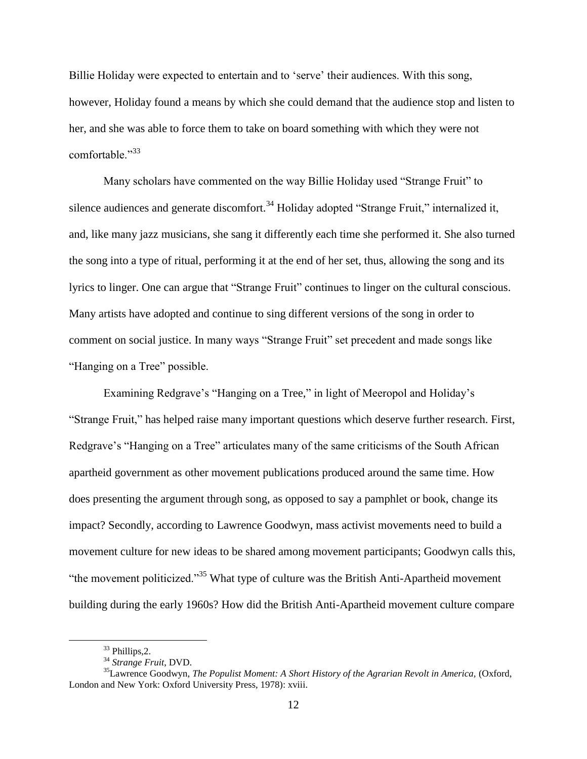Billie Holiday were expected to entertain and to 'serve' their audiences. With this song, however, Holiday found a means by which she could demand that the audience stop and listen to her, and she was able to force them to take on board something with which they were not comfortable."<sup>33</sup>

Many scholars have commented on the way Billie Holiday used "Strange Fruit" to silence audiences and generate discomfort.<sup>34</sup> Holiday adopted "Strange Fruit," internalized it, and, like many jazz musicians, she sang it differently each time she performed it. She also turned the song into a type of ritual, performing it at the end of her set, thus, allowing the song and its lyrics to linger. One can argue that "Strange Fruit" continues to linger on the cultural conscious. Many artists have adopted and continue to sing different versions of the song in order to comment on social justice. In many ways "Strange Fruit" set precedent and made songs like "Hanging on a Tree" possible.

Examining Redgrave's "Hanging on a Tree," in light of Meeropol and Holiday's "Strange Fruit," has helped raise many important questions which deserve further research. First, Redgrave's "Hanging on a Tree" articulates many of the same criticisms of the South African apartheid government as other movement publications produced around the same time. How does presenting the argument through song, as opposed to say a pamphlet or book, change its impact? Secondly, according to Lawrence Goodwyn, mass activist movements need to build a movement culture for new ideas to be shared among movement participants; Goodwyn calls this, "the movement politicized."<sup>35</sup> What type of culture was the British Anti-Apartheid movement building during the early 1960s? How did the British Anti-Apartheid movement culture compare

<sup>33</sup> Phillips,2.

<sup>34</sup> *Strange Fruit*, DVD.

<sup>35</sup>Lawrence Goodwyn, *The Populist Moment: A Short History of the Agrarian Revolt in America,* (Oxford, London and New York: Oxford University Press, 1978): xviii.